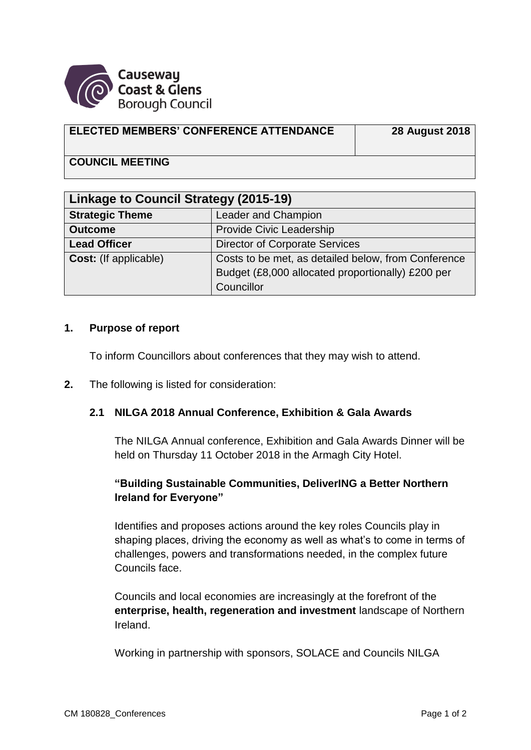

#### **ELECTED MEMBERS' CONFERENCE ATTENDANCE 28 August 2018**

# **COUNCIL MEETING**

| <b>Linkage to Council Strategy (2015-19)</b> |                                                     |
|----------------------------------------------|-----------------------------------------------------|
| <b>Strategic Theme</b>                       | Leader and Champion                                 |
| <b>Outcome</b>                               | Provide Civic Leadership                            |
| <b>Lead Officer</b>                          | <b>Director of Corporate Services</b>               |
| <b>Cost:</b> (If applicable)                 | Costs to be met, as detailed below, from Conference |
|                                              | Budget (£8,000 allocated proportionally) £200 per   |
|                                              | Councillor                                          |

#### **1. Purpose of report**

To inform Councillors about conferences that they may wish to attend.

**2.** The following is listed for consideration:

### **2.1 NILGA 2018 Annual Conference, Exhibition & Gala Awards**

The NILGA Annual conference, Exhibition and Gala Awards Dinner will be held on Thursday 11 October 2018 in the Armagh City Hotel.

## **"Building Sustainable Communities, DeliverING a Better Northern Ireland for Everyone"**

Identifies and proposes actions around the key roles Councils play in shaping places, driving the economy as well as what's to come in terms of challenges, powers and transformations needed, in the complex future Councils face.

Councils and local economies are increasingly at the forefront of the **enterprise, health, regeneration and investment** landscape of Northern Ireland.

Working in partnership with sponsors, SOLACE and Councils NILGA